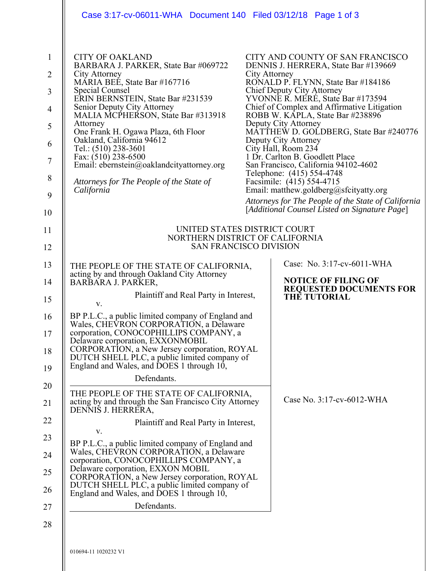|                                                                                                 | Case 3:17-cv-06011-WHA Document 140 Filed 03/12/18 Page 1 of 3                                                                                                                                                                                                                                                                                                                                                                                                                     |  |                                                                                                                                                                                                                                                                                                                                                                                                                                                                                                                                                                                                                                                                                               |
|-------------------------------------------------------------------------------------------------|------------------------------------------------------------------------------------------------------------------------------------------------------------------------------------------------------------------------------------------------------------------------------------------------------------------------------------------------------------------------------------------------------------------------------------------------------------------------------------|--|-----------------------------------------------------------------------------------------------------------------------------------------------------------------------------------------------------------------------------------------------------------------------------------------------------------------------------------------------------------------------------------------------------------------------------------------------------------------------------------------------------------------------------------------------------------------------------------------------------------------------------------------------------------------------------------------------|
| $\mathbf{1}$<br>$\overline{2}$<br>3<br>$\overline{4}$<br>5<br>6<br>$\tau$<br>8<br>9<br>10<br>11 | <b>CITY OF OAKLAND</b><br>BARBARA J. PARKER, State Bar #069722<br>City Attorney<br>MARIA BEE, State Bar #167716<br>Special Counsel<br>ERIN BERNSTEIN, State Bar #231539<br>Senior Deputy City Attorney<br>MALIA MCPHERSON, State Bar #313918<br>Attorney<br>One Frank H. Ogawa Plaza, 6th Floor<br>Oakland, California 94612<br>Tel.: (510) 238-3601<br>Fax: (510) 238-6500<br>Email: ebernstein@oaklandcityattorney.org<br>Attorneys for The People of the State of<br>California |  | CITY AND COUNTY OF SAN FRANCISCO<br>DENNIS J. HERRERA, State Bar #139669<br>City Attorney<br>RONALD P. FLYNN, State Bar #184186<br>Chief Deputy City Attorney<br>YVONNE R. MERE, State Bar #173594<br>Chief of Complex and Affirmative Litigation<br>ROBB W. KAPLA, State Bar #238896<br>Deputy City Attorney<br>MATTHEW D. GOLDBERG, State Bar #240776<br>Deputy City Attorney<br>City Hall, Room 234<br>1 Dr. Carlton B. Goodlett Place<br>San Francisco, California 94102-4602<br>Telephone: (415) 554-4748<br>Facsimile: (415) 554-4715<br>Email: matthew.goldberg@sfcityatty.org<br>Attorneys for The People of the State of California<br>[Additional Counsel Listed on Signature Page] |
| 12                                                                                              | UNITED STATES DISTRICT COURT<br>NORTHERN DISTRICT OF CALIFORNIA<br><b>SAN FRANCISCO DIVISION</b>                                                                                                                                                                                                                                                                                                                                                                                   |  |                                                                                                                                                                                                                                                                                                                                                                                                                                                                                                                                                                                                                                                                                               |
| 13                                                                                              | THE PEOPLE OF THE STATE OF CALIFORNIA,                                                                                                                                                                                                                                                                                                                                                                                                                                             |  | Case: No. 3:17-cv-6011-WHA                                                                                                                                                                                                                                                                                                                                                                                                                                                                                                                                                                                                                                                                    |
| 14                                                                                              | acting by and through Oakland City Attorney<br>BARBARA J. PARKER,                                                                                                                                                                                                                                                                                                                                                                                                                  |  | <b>NOTICE OF FILING OF</b><br><b>REQUESTED DOCUMENTS FOR</b>                                                                                                                                                                                                                                                                                                                                                                                                                                                                                                                                                                                                                                  |
| 15                                                                                              | Plaintiff and Real Party in Interest,<br>V.                                                                                                                                                                                                                                                                                                                                                                                                                                        |  | <b>THE TUTORIAL</b>                                                                                                                                                                                                                                                                                                                                                                                                                                                                                                                                                                                                                                                                           |
| 16<br>17<br>18<br>19                                                                            | BP P.L.C., a public limited company of England and<br>Wales, CHEVRON CORPORATION, a Delaware<br>corporation, CONOCOPHILLIPS COMPANY, a<br>Delaware corporation, EXXONMOBIL<br>CORPORATION, a New Jersey corporation, ROYAL<br>DUTCH SHELL PLC, a public limited company of<br>England and Wales, and DOES 1 through 10,                                                                                                                                                            |  |                                                                                                                                                                                                                                                                                                                                                                                                                                                                                                                                                                                                                                                                                               |
| 20                                                                                              | Defendants.                                                                                                                                                                                                                                                                                                                                                                                                                                                                        |  |                                                                                                                                                                                                                                                                                                                                                                                                                                                                                                                                                                                                                                                                                               |
| 21                                                                                              | THE PEOPLE OF THE STATE OF CALIFORNIA,<br>acting by and through the San Francisco City Attorney<br>DENNIS J. HERRERA,                                                                                                                                                                                                                                                                                                                                                              |  | Case No. 3:17-cv-6012-WHA                                                                                                                                                                                                                                                                                                                                                                                                                                                                                                                                                                                                                                                                     |
| 22                                                                                              | Plaintiff and Real Party in Interest,                                                                                                                                                                                                                                                                                                                                                                                                                                              |  |                                                                                                                                                                                                                                                                                                                                                                                                                                                                                                                                                                                                                                                                                               |
| 23<br>24                                                                                        | V.<br>BP P.L.C., a public limited company of England and<br>Wales, CHEVRON CORPORATION, a Delaware                                                                                                                                                                                                                                                                                                                                                                                 |  |                                                                                                                                                                                                                                                                                                                                                                                                                                                                                                                                                                                                                                                                                               |
| 25<br>26                                                                                        | corporation, CONOCOPHILLIPS COMPANY, a<br>Delaware corporation, EXXON MOBIL<br>CORPORATION, a New Jersey corporation, ROYAL<br>DUTCH SHELL PLC, a public limited company of<br>England and Wales, and DOES 1 through 10,                                                                                                                                                                                                                                                           |  |                                                                                                                                                                                                                                                                                                                                                                                                                                                                                                                                                                                                                                                                                               |
| 27                                                                                              | Defendants.                                                                                                                                                                                                                                                                                                                                                                                                                                                                        |  |                                                                                                                                                                                                                                                                                                                                                                                                                                                                                                                                                                                                                                                                                               |
| 28                                                                                              | 010694-11 1020232 V1                                                                                                                                                                                                                                                                                                                                                                                                                                                               |  |                                                                                                                                                                                                                                                                                                                                                                                                                                                                                                                                                                                                                                                                                               |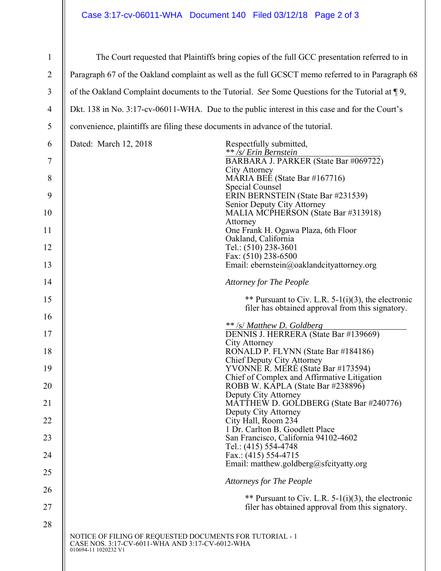## Case 3:17-cv-06011-WHA Document 140 Filed 03/12/18 Page 2 of 3

| $\mathbf{1}$   | The Court requested that Plaintiffs bring copies of the full GCC presentation referred to in                                        |  |  |  |
|----------------|-------------------------------------------------------------------------------------------------------------------------------------|--|--|--|
| $\overline{2}$ | Paragraph 67 of the Oakland complaint as well as the full GCSCT memo referred to in Paragraph 68                                    |  |  |  |
| 3              | of the Oakland Complaint documents to the Tutorial. See Some Questions for the Tutorial at $\P$ 9,                                  |  |  |  |
| $\overline{4}$ | Dkt. 138 in No. 3:17-cv-06011-WHA. Due to the public interest in this case and for the Court's                                      |  |  |  |
| 5              | convenience, plaintiffs are filing these documents in advance of the tutorial.                                                      |  |  |  |
| 6              | Dated: March 12, 2018<br>Respectfully submitted,<br>** /s/ Erin Bernstein                                                           |  |  |  |
| 7              | BARBARA J. PARKER (State Bar #069722)<br>City Attorney                                                                              |  |  |  |
| $8\phantom{.}$ | MARIA BEE (State Bar #167716)<br>Special Counsel                                                                                    |  |  |  |
| 9              | ERIN BERNSTEIN (State Bar #231539)<br>Senior Deputy City Attorney                                                                   |  |  |  |
| 10             | MALIA MCPHERSON (State Bar #313918)<br>Attorney                                                                                     |  |  |  |
| 11             | One Frank H. Ogawa Plaza, 6th Floor<br>Oakland, California                                                                          |  |  |  |
| 12             | Tel.: (510) 238-3601<br>Fax: (510) 238-6500                                                                                         |  |  |  |
| 13             | Email: ebernstein@oaklandcityattorney.org                                                                                           |  |  |  |
| 14             | <b>Attorney for The People</b>                                                                                                      |  |  |  |
| 15<br>16       | ** Pursuant to Civ. L.R. 5-1(i)(3), the electronic<br>filer has obtained approval from this signatory.                              |  |  |  |
|                | ** /s/ Matthew D. Goldberg                                                                                                          |  |  |  |
| 17             | DENNIS J. HERRERA (State Bar #139669)<br>City Attorney                                                                              |  |  |  |
| 18             | RONALD P. FLYNN (State Bar #184186)<br>Chief Deputy City Attorney                                                                   |  |  |  |
| 19<br>20       | YVONNE R. MERE (State Bar #173594)<br>Chief of Complex and Affirmative Litigation                                                   |  |  |  |
|                | ROBB W. KAPLA (State Bar #238896)<br>Deputy City Attorney                                                                           |  |  |  |
| 21<br>22       | MATTHEW D. GOLDBERG (State Bar #240776)<br>Deputy City Attorney<br>City Hall, Room 234                                              |  |  |  |
| 23             | 1 Dr. Carlton B. Goodlett Place                                                                                                     |  |  |  |
| 24             | San Francisco, California 94102-4602<br>Tel.: (415) 554-4748<br>Fax.: $(415)$ 554-4715                                              |  |  |  |
| 25             | Email: matthew.goldberg@sfcityatty.org                                                                                              |  |  |  |
| 26             | <b>Attorneys for The People</b>                                                                                                     |  |  |  |
| 27             | ** Pursuant to Civ. L.R. $5-1(i)(3)$ , the electronic<br>filer has obtained approval from this signatory.                           |  |  |  |
| 28             |                                                                                                                                     |  |  |  |
|                | NOTICE OF FILING OF REQUESTED DOCUMENTS FOR TUTORIAL - 1<br>CASE NOS. 3:17-CV-6011-WHA AND 3:17-CV-6012-WHA<br>010694-11 1020232 V1 |  |  |  |